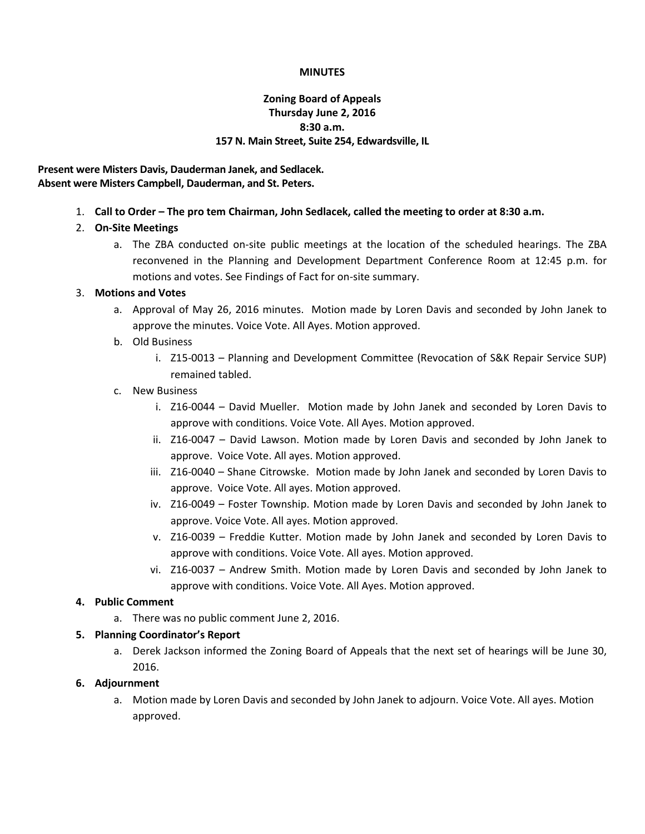#### **MINUTES**

## **Zoning Board of Appeals Thursday June 2, 2016 8:30 a.m. 157 N. Main Street, Suite 254, Edwardsville, IL**

### **Present were Misters Davis, Dauderman Janek, and Sedlacek. Absent were Misters Campbell, Dauderman, and St. Peters.**

1. **Call to Order – The pro tem Chairman, John Sedlacek, called the meeting to order at 8:30 a.m.**

## 2. **On-Site Meetings**

a. The ZBA conducted on-site public meetings at the location of the scheduled hearings. The ZBA reconvened in the Planning and Development Department Conference Room at 12:45 p.m. for motions and votes. See Findings of Fact for on-site summary.

### 3. **Motions and Votes**

- a. Approval of May 26, 2016 minutes. Motion made by Loren Davis and seconded by John Janek to approve the minutes. Voice Vote. All Ayes. Motion approved.
- b. Old Business
	- i. Z15-0013 Planning and Development Committee (Revocation of S&K Repair Service SUP) remained tabled.
- c. New Business
	- i. Z16-0044 David Mueller. Motion made by John Janek and seconded by Loren Davis to approve with conditions. Voice Vote. All Ayes. Motion approved.
	- ii. Z16-0047 David Lawson. Motion made by Loren Davis and seconded by John Janek to approve. Voice Vote. All ayes. Motion approved.
	- iii. Z16-0040 Shane Citrowske. Motion made by John Janek and seconded by Loren Davis to approve. Voice Vote. All ayes. Motion approved.
	- iv. Z16-0049 Foster Township. Motion made by Loren Davis and seconded by John Janek to approve. Voice Vote. All ayes. Motion approved.
	- v. Z16-0039 Freddie Kutter. Motion made by John Janek and seconded by Loren Davis to approve with conditions. Voice Vote. All ayes. Motion approved.
	- vi. Z16-0037 Andrew Smith. Motion made by Loren Davis and seconded by John Janek to approve with conditions. Voice Vote. All Ayes. Motion approved.

## **4. Public Comment**

a. There was no public comment June 2, 2016.

#### **5. Planning Coordinator's Report**

a. Derek Jackson informed the Zoning Board of Appeals that the next set of hearings will be June 30, 2016.

#### **6. Adjournment**

a. Motion made by Loren Davis and seconded by John Janek to adjourn. Voice Vote. All ayes. Motion approved.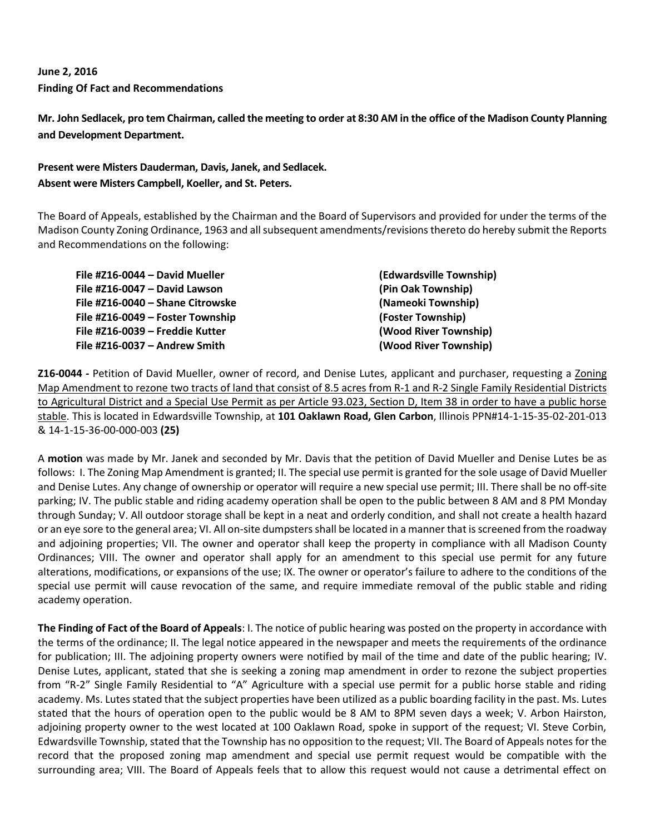# **June 2, 2016 Finding Of Fact and Recommendations**

**Mr. John Sedlacek, pro tem Chairman, called the meeting to order at 8:30 AM in the office of the Madison County Planning and Development Department.**

# **Present were Misters Dauderman, Davis, Janek, and Sedlacek. Absent were Misters Campbell, Koeller, and St. Peters.**

The Board of Appeals, established by the Chairman and the Board of Supervisors and provided for under the terms of the Madison County Zoning Ordinance, 1963 and all subsequent amendments/revisions thereto do hereby submit the Reports and Recommendations on the following:

| File #Z16-0044 - David Mueller   | (Edwardsville Township) |
|----------------------------------|-------------------------|
| File #Z16-0047 - David Lawson    | (Pin Oak Township)      |
| File #Z16-0040 - Shane Citrowske | (Nameoki Township)      |
| File #Z16-0049 – Foster Township | (Foster Township)       |
| File #Z16-0039 - Freddie Kutter  | (Wood River Township)   |
| File #Z16-0037 - Andrew Smith    | (Wood River Township)   |

**Z16-0044 -** Petition of David Mueller, owner of record, and Denise Lutes, applicant and purchaser, requesting a Zoning Map Amendment to rezone two tracts of land that consist of 8.5 acres from R-1 and R-2 Single Family Residential Districts to Agricultural District and a Special Use Permit as per Article 93.023, Section D, Item 38 in order to have a public horse stable. This is located in Edwardsville Township, at **101 Oaklawn Road, Glen Carbon**, Illinois PPN#14-1-15-35-02-201-013 & 14-1-15-36-00-000-003 **(25)**

A **motion** was made by Mr. Janek and seconded by Mr. Davis that the petition of David Mueller and Denise Lutes be as follows: I. The Zoning Map Amendment is granted; II. The special use permit is granted for the sole usage of David Mueller and Denise Lutes. Any change of ownership or operator will require a new special use permit; III. There shall be no off-site parking; IV. The public stable and riding academy operation shall be open to the public between 8 AM and 8 PM Monday through Sunday; V. All outdoor storage shall be kept in a neat and orderly condition, and shall not create a health hazard or an eye sore to the general area; VI. All on-site dumpsters shall be located in a manner that is screened from the roadway and adjoining properties; VII. The owner and operator shall keep the property in compliance with all Madison County Ordinances; VIII. The owner and operator shall apply for an amendment to this special use permit for any future alterations, modifications, or expansions of the use; IX. The owner or operator's failure to adhere to the conditions of the special use permit will cause revocation of the same, and require immediate removal of the public stable and riding academy operation.

**The Finding of Fact of the Board of Appeals**: I. The notice of public hearing was posted on the property in accordance with the terms of the ordinance; II. The legal notice appeared in the newspaper and meets the requirements of the ordinance for publication; III. The adjoining property owners were notified by mail of the time and date of the public hearing; IV. Denise Lutes, applicant, stated that she is seeking a zoning map amendment in order to rezone the subject properties from "R-2" Single Family Residential to "A" Agriculture with a special use permit for a public horse stable and riding academy. Ms. Lutes stated that the subject properties have been utilized as a public boarding facility in the past. Ms. Lutes stated that the hours of operation open to the public would be 8 AM to 8PM seven days a week; V. Arbon Hairston, adjoining property owner to the west located at 100 Oaklawn Road, spoke in support of the request; VI. Steve Corbin, Edwardsville Township, stated that the Township has no opposition to the request; VII. The Board of Appeals notes for the record that the proposed zoning map amendment and special use permit request would be compatible with the surrounding area; VIII. The Board of Appeals feels that to allow this request would not cause a detrimental effect on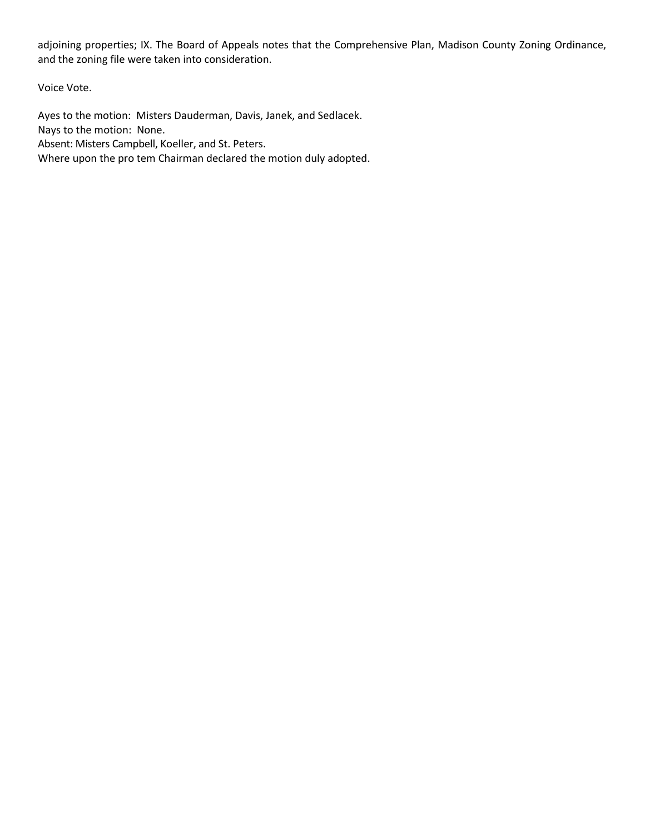adjoining properties; IX. The Board of Appeals notes that the Comprehensive Plan, Madison County Zoning Ordinance, and the zoning file were taken into consideration.

Voice Vote.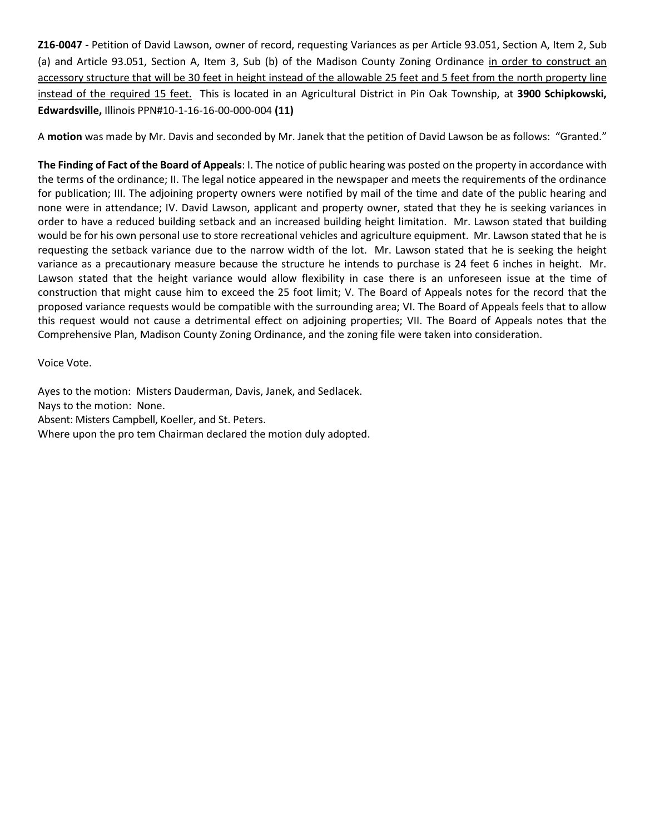**Z16-0047 -** Petition of David Lawson, owner of record, requesting Variances as per Article 93.051, Section A, Item 2, Sub (a) and Article 93.051, Section A, Item 3, Sub (b) of the Madison County Zoning Ordinance in order to construct an accessory structure that will be 30 feet in height instead of the allowable 25 feet and 5 feet from the north property line instead of the required 15 feet. This is located in an Agricultural District in Pin Oak Township, at **3900 Schipkowski, Edwardsville,** Illinois PPN#10-1-16-16-00-000-004 **(11)**

A **motion** was made by Mr. Davis and seconded by Mr. Janek that the petition of David Lawson be as follows: "Granted."

**The Finding of Fact of the Board of Appeals**: I. The notice of public hearing was posted on the property in accordance with the terms of the ordinance; II. The legal notice appeared in the newspaper and meets the requirements of the ordinance for publication; III. The adjoining property owners were notified by mail of the time and date of the public hearing and none were in attendance; IV. David Lawson, applicant and property owner, stated that they he is seeking variances in order to have a reduced building setback and an increased building height limitation. Mr. Lawson stated that building would be for his own personal use to store recreational vehicles and agriculture equipment. Mr. Lawson stated that he is requesting the setback variance due to the narrow width of the lot. Mr. Lawson stated that he is seeking the height variance as a precautionary measure because the structure he intends to purchase is 24 feet 6 inches in height. Mr. Lawson stated that the height variance would allow flexibility in case there is an unforeseen issue at the time of construction that might cause him to exceed the 25 foot limit; V. The Board of Appeals notes for the record that the proposed variance requests would be compatible with the surrounding area; VI. The Board of Appeals feels that to allow this request would not cause a detrimental effect on adjoining properties; VII. The Board of Appeals notes that the Comprehensive Plan, Madison County Zoning Ordinance, and the zoning file were taken into consideration.

Voice Vote.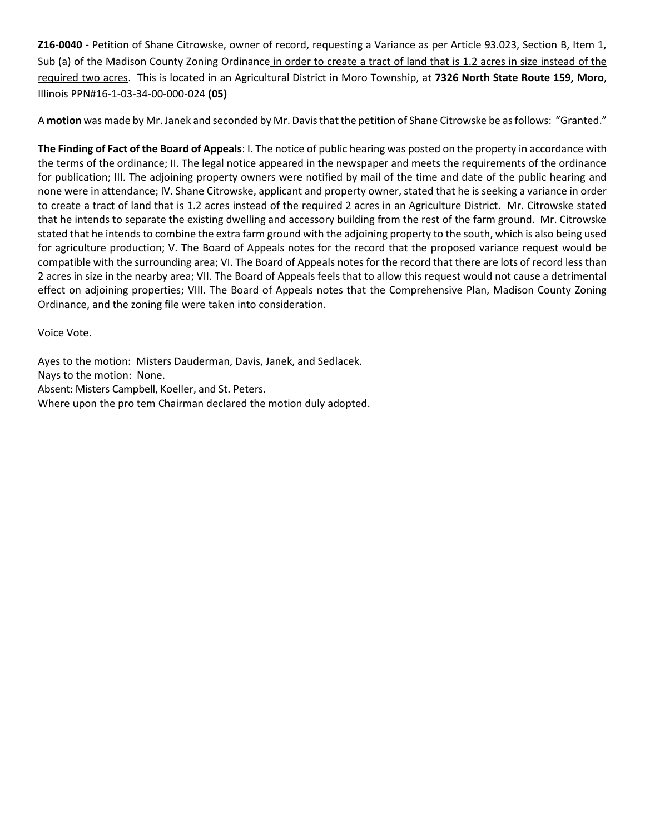**Z16-0040 -** Petition of Shane Citrowske, owner of record, requesting a Variance as per Article 93.023, Section B, Item 1, Sub (a) of the Madison County Zoning Ordinance in order to create a tract of land that is 1.2 acres in size instead of the required two acres. This is located in an Agricultural District in Moro Township, at **7326 North State Route 159, Moro**, Illinois PPN#16-1-03-34-00-000-024 **(05)**

A **motion** was made by Mr. Janek and seconded by Mr. Davis that the petition of Shane Citrowske be as follows: "Granted."

**The Finding of Fact of the Board of Appeals**: I. The notice of public hearing was posted on the property in accordance with the terms of the ordinance; II. The legal notice appeared in the newspaper and meets the requirements of the ordinance for publication; III. The adjoining property owners were notified by mail of the time and date of the public hearing and none were in attendance; IV. Shane Citrowske, applicant and property owner, stated that he is seeking a variance in order to create a tract of land that is 1.2 acres instead of the required 2 acres in an Agriculture District. Mr. Citrowske stated that he intends to separate the existing dwelling and accessory building from the rest of the farm ground. Mr. Citrowske stated that he intends to combine the extra farm ground with the adjoining property to the south, which is also being used for agriculture production; V. The Board of Appeals notes for the record that the proposed variance request would be compatible with the surrounding area; VI. The Board of Appeals notes for the record that there are lots of record less than 2 acres in size in the nearby area; VII. The Board of Appeals feels that to allow this request would not cause a detrimental effect on adjoining properties; VIII. The Board of Appeals notes that the Comprehensive Plan, Madison County Zoning Ordinance, and the zoning file were taken into consideration.

Voice Vote.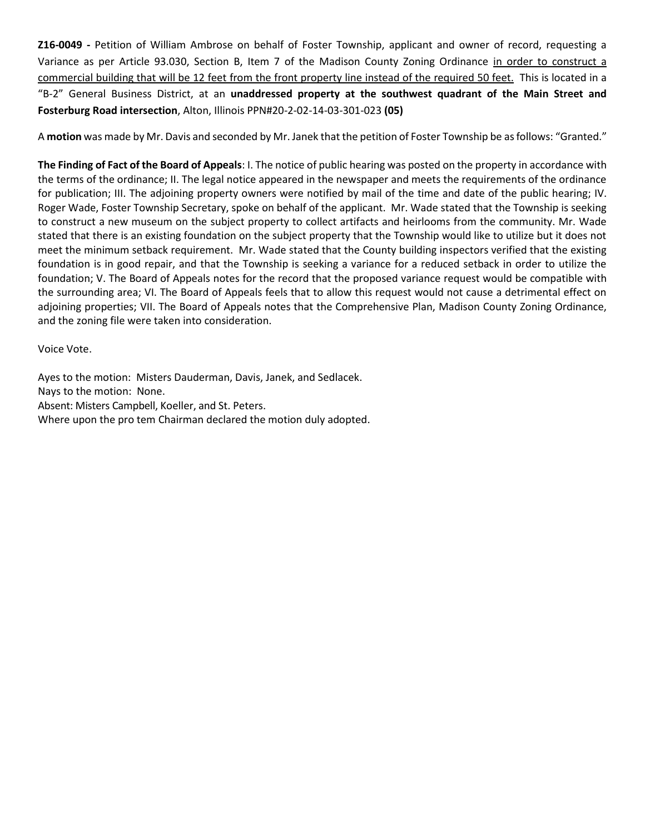**Z16-0049 -** Petition of William Ambrose on behalf of Foster Township, applicant and owner of record, requesting a Variance as per Article 93.030, Section B, Item 7 of the Madison County Zoning Ordinance in order to construct a commercial building that will be 12 feet from the front property line instead of the required 50 feet. This is located in a "B-2" General Business District, at an **unaddressed property at the southwest quadrant of the Main Street and Fosterburg Road intersection**, Alton, Illinois PPN#20-2-02-14-03-301-023 **(05)**

A **motion** was made by Mr. Davis and seconded by Mr. Janek that the petition of Foster Township be as follows: "Granted."

**The Finding of Fact of the Board of Appeals**: I. The notice of public hearing was posted on the property in accordance with the terms of the ordinance; II. The legal notice appeared in the newspaper and meets the requirements of the ordinance for publication; III. The adjoining property owners were notified by mail of the time and date of the public hearing; IV. Roger Wade, Foster Township Secretary, spoke on behalf of the applicant. Mr. Wade stated that the Township is seeking to construct a new museum on the subject property to collect artifacts and heirlooms from the community. Mr. Wade stated that there is an existing foundation on the subject property that the Township would like to utilize but it does not meet the minimum setback requirement. Mr. Wade stated that the County building inspectors verified that the existing foundation is in good repair, and that the Township is seeking a variance for a reduced setback in order to utilize the foundation; V. The Board of Appeals notes for the record that the proposed variance request would be compatible with the surrounding area; VI. The Board of Appeals feels that to allow this request would not cause a detrimental effect on adjoining properties; VII. The Board of Appeals notes that the Comprehensive Plan, Madison County Zoning Ordinance, and the zoning file were taken into consideration.

Voice Vote.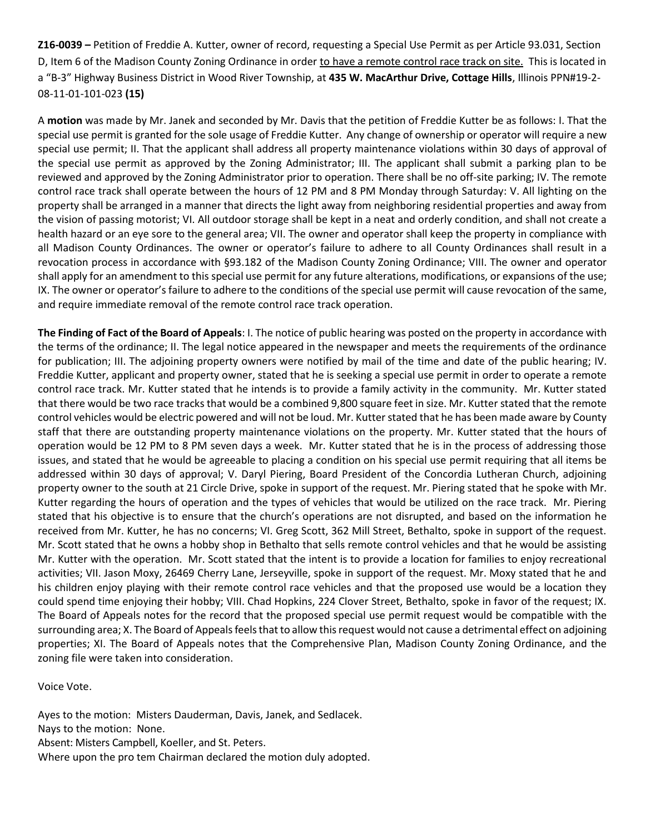**Z16-0039 –** Petition of Freddie A. Kutter, owner of record, requesting a Special Use Permit as per Article 93.031, Section D, Item 6 of the Madison County Zoning Ordinance in order to have a remote control race track on site. This is located in a "B-3" Highway Business District in Wood River Township, at **435 W. MacArthur Drive, Cottage Hills**, Illinois PPN#19-2- 08-11-01-101-023 **(15)**

A **motion** was made by Mr. Janek and seconded by Mr. Davis that the petition of Freddie Kutter be as follows: I. That the special use permit is granted for the sole usage of Freddie Kutter. Any change of ownership or operator will require a new special use permit; II. That the applicant shall address all property maintenance violations within 30 days of approval of the special use permit as approved by the Zoning Administrator; III. The applicant shall submit a parking plan to be reviewed and approved by the Zoning Administrator prior to operation. There shall be no off-site parking; IV. The remote control race track shall operate between the hours of 12 PM and 8 PM Monday through Saturday: V. All lighting on the property shall be arranged in a manner that directs the light away from neighboring residential properties and away from the vision of passing motorist; VI. All outdoor storage shall be kept in a neat and orderly condition, and shall not create a health hazard or an eye sore to the general area; VII. The owner and operator shall keep the property in compliance with all Madison County Ordinances. The owner or operator's failure to adhere to all County Ordinances shall result in a revocation process in accordance with §93.182 of the Madison County Zoning Ordinance; VIII. The owner and operator shall apply for an amendment to this special use permit for any future alterations, modifications, or expansions of the use; IX. The owner or operator's failure to adhere to the conditions of the special use permit will cause revocation of the same, and require immediate removal of the remote control race track operation.

**The Finding of Fact of the Board of Appeals**: I. The notice of public hearing was posted on the property in accordance with the terms of the ordinance; II. The legal notice appeared in the newspaper and meets the requirements of the ordinance for publication; III. The adjoining property owners were notified by mail of the time and date of the public hearing; IV. Freddie Kutter, applicant and property owner, stated that he is seeking a special use permit in order to operate a remote control race track. Mr. Kutter stated that he intends is to provide a family activity in the community. Mr. Kutter stated that there would be two race tracks that would be a combined 9,800 square feet in size. Mr. Kutter stated that the remote control vehicles would be electric powered and will not be loud. Mr. Kutter stated that he has been made aware by County staff that there are outstanding property maintenance violations on the property. Mr. Kutter stated that the hours of operation would be 12 PM to 8 PM seven days a week. Mr. Kutter stated that he is in the process of addressing those issues, and stated that he would be agreeable to placing a condition on his special use permit requiring that all items be addressed within 30 days of approval; V. Daryl Piering, Board President of the Concordia Lutheran Church, adjoining property owner to the south at 21 Circle Drive, spoke in support of the request. Mr. Piering stated that he spoke with Mr. Kutter regarding the hours of operation and the types of vehicles that would be utilized on the race track. Mr. Piering stated that his objective is to ensure that the church's operations are not disrupted, and based on the information he received from Mr. Kutter, he has no concerns; VI. Greg Scott, 362 Mill Street, Bethalto, spoke in support of the request. Mr. Scott stated that he owns a hobby shop in Bethalto that sells remote control vehicles and that he would be assisting Mr. Kutter with the operation. Mr. Scott stated that the intent is to provide a location for families to enjoy recreational activities; VII. Jason Moxy, 26469 Cherry Lane, Jerseyville, spoke in support of the request. Mr. Moxy stated that he and his children enjoy playing with their remote control race vehicles and that the proposed use would be a location they could spend time enjoying their hobby; VIII. Chad Hopkins, 224 Clover Street, Bethalto, spoke in favor of the request; IX. The Board of Appeals notes for the record that the proposed special use permit request would be compatible with the surrounding area; X. The Board of Appeals feels that to allow this request would not cause a detrimental effect on adjoining properties; XI. The Board of Appeals notes that the Comprehensive Plan, Madison County Zoning Ordinance, and the zoning file were taken into consideration.

Voice Vote.